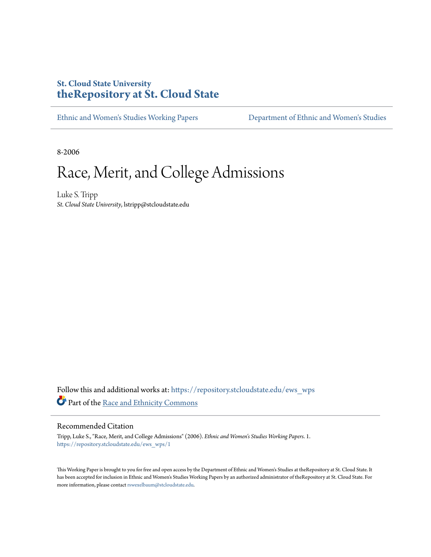#### **St. Cloud State University [theRepository at St. Cloud State](https://repository.stcloudstate.edu?utm_source=repository.stcloudstate.edu%2Fews_wps%2F1&utm_medium=PDF&utm_campaign=PDFCoverPages)**

[Ethnic and Women's Studies Working Papers](https://repository.stcloudstate.edu/ews_wps?utm_source=repository.stcloudstate.edu%2Fews_wps%2F1&utm_medium=PDF&utm_campaign=PDFCoverPages) [Department of Ethnic and Women's Studies](https://repository.stcloudstate.edu/ews?utm_source=repository.stcloudstate.edu%2Fews_wps%2F1&utm_medium=PDF&utm_campaign=PDFCoverPages)

8-2006

## Race, Merit, and College Admissions

Luke S. Tripp *St. Cloud State University*, lstripp@stcloudstate.edu

Follow this and additional works at: [https://repository.stcloudstate.edu/ews\\_wps](https://repository.stcloudstate.edu/ews_wps?utm_source=repository.stcloudstate.edu%2Fews_wps%2F1&utm_medium=PDF&utm_campaign=PDFCoverPages) Part of the [Race and Ethnicity Commons](http://network.bepress.com/hgg/discipline/426?utm_source=repository.stcloudstate.edu%2Fews_wps%2F1&utm_medium=PDF&utm_campaign=PDFCoverPages)

#### Recommended Citation

Tripp, Luke S., "Race, Merit, and College Admissions" (2006). *Ethnic and Women's Studies Working Papers*. 1. [https://repository.stcloudstate.edu/ews\\_wps/1](https://repository.stcloudstate.edu/ews_wps/1?utm_source=repository.stcloudstate.edu%2Fews_wps%2F1&utm_medium=PDF&utm_campaign=PDFCoverPages)

This Working Paper is brought to you for free and open access by the Department of Ethnic and Women's Studies at theRepository at St. Cloud State. It has been accepted for inclusion in Ethnic and Women's Studies Working Papers by an authorized administrator of theRepository at St. Cloud State. For more information, please contact [rswexelbaum@stcloudstate.edu](mailto:rswexelbaum@stcloudstate.edu).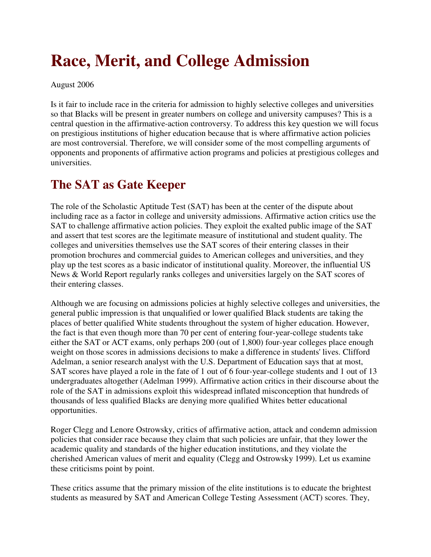# **Race, Merit, and College Admission**

August 2006

Is it fair to include race in the criteria for admission to highly selective colleges and universities so that Blacks will be present in greater numbers on college and university campuses? This is a central question in the affirmative-action controversy. To address this key question we will focus on prestigious institutions of higher education because that is where affirmative action policies are most controversial. Therefore, we will consider some of the most compelling arguments of opponents and proponents of affirmative action programs and policies at prestigious colleges and universities.

### **The SAT as Gate Keeper**

The role of the Scholastic Aptitude Test (SAT) has been at the center of the dispute about including race as a factor in college and university admissions. Affirmative action critics use the SAT to challenge affirmative action policies. They exploit the exalted public image of the SAT and assert that test scores are the legitimate measure of institutional and student quality. The colleges and universities themselves use the SAT scores of their entering classes in their promotion brochures and commercial guides to American colleges and universities, and they play up the test scores as a basic indicator of institutional quality. Moreover, the influential US News & World Report regularly ranks colleges and universities largely on the SAT scores of their entering classes.

Although we are focusing on admissions policies at highly selective colleges and universities, the general public impression is that unqualified or lower qualified Black students are taking the places of better qualified White students throughout the system of higher education. However, the fact is that even though more than 70 per cent of entering four-year-college students take either the SAT or ACT exams, only perhaps 200 (out of 1,800) four-year colleges place enough weight on those scores in admissions decisions to make a difference in students' lives. Clifford Adelman, a senior research analyst with the U.S. Department of Education says that at most, SAT scores have played a role in the fate of 1 out of 6 four-year-college students and 1 out of 13 undergraduates altogether (Adelman 1999). Affirmative action critics in their discourse about the role of the SAT in admissions exploit this widespread inflated misconception that hundreds of thousands of less qualified Blacks are denying more qualified Whites better educational opportunities.

Roger Clegg and Lenore Ostrowsky, critics of affirmative action, attack and condemn admission policies that consider race because they claim that such policies are unfair, that they lower the academic quality and standards of the higher education institutions, and they violate the cherished American values of merit and equality (Clegg and Ostrowsky 1999). Let us examine these criticisms point by point.

These critics assume that the primary mission of the elite institutions is to educate the brightest students as measured by SAT and American College Testing Assessment (ACT) scores. They,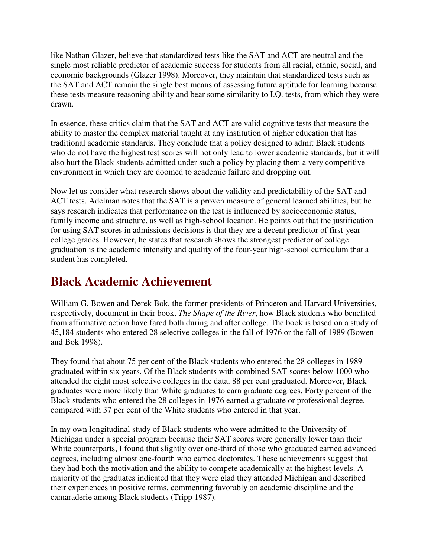like Nathan Glazer, believe that standardized tests like the SAT and ACT are neutral and the single most reliable predictor of academic success for students from all racial, ethnic, social, and economic backgrounds (Glazer 1998). Moreover, they maintain that standardized tests such as the SAT and ACT remain the single best means of assessing future aptitude for learning because these tests measure reasoning ability and bear some similarity to I.Q. tests, from which they were drawn.

In essence, these critics claim that the SAT and ACT are valid cognitive tests that measure the ability to master the complex material taught at any institution of higher education that has traditional academic standards. They conclude that a policy designed to admit Black students who do not have the highest test scores will not only lead to lower academic standards, but it will also hurt the Black students admitted under such a policy by placing them a very competitive environment in which they are doomed to academic failure and dropping out.

Now let us consider what research shows about the validity and predictability of the SAT and ACT tests. Adelman notes that the SAT is a proven measure of general learned abilities, but he says research indicates that performance on the test is influenced by socioeconomic status, family income and structure, as well as high-school location. He points out that the justification for using SAT scores in admissions decisions is that they are a decent predictor of first-year college grades. However, he states that research shows the strongest predictor of college graduation is the academic intensity and quality of the four-year high-school curriculum that a student has completed.

#### **Black Academic Achievement**

William G. Bowen and Derek Bok, the former presidents of Princeton and Harvard Universities, respectively, document in their book, *The Shape of the River*, how Black students who benefited from affirmative action have fared both during and after college. The book is based on a study of 45,184 students who entered 28 selective colleges in the fall of 1976 or the fall of 1989 (Bowen and Bok 1998).

They found that about 75 per cent of the Black students who entered the 28 colleges in 1989 graduated within six years. Of the Black students with combined SAT scores below 1000 who attended the eight most selective colleges in the data, 88 per cent graduated. Moreover, Black graduates were more likely than White graduates to earn graduate degrees. Forty percent of the Black students who entered the 28 colleges in 1976 earned a graduate or professional degree, compared with 37 per cent of the White students who entered in that year.

In my own longitudinal study of Black students who were admitted to the University of Michigan under a special program because their SAT scores were generally lower than their White counterparts, I found that slightly over one-third of those who graduated earned advanced degrees, including almost one-fourth who earned doctorates. These achievements suggest that they had both the motivation and the ability to compete academically at the highest levels. A majority of the graduates indicated that they were glad they attended Michigan and described their experiences in positive terms, commenting favorably on academic discipline and the camaraderie among Black students (Tripp 1987).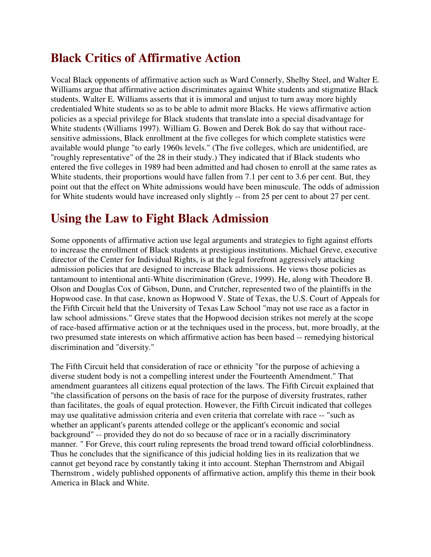#### **Black Critics of Affirmative Action**

Vocal Black opponents of affirmative action such as Ward Connerly, Shelby Steel, and Walter E. Williams argue that affirmative action discriminates against White students and stigmatize Black students. Walter E. Williams asserts that it is immoral and unjust to turn away more highly credentialed White students so as to be able to admit more Blacks. He views affirmative action policies as a special privilege for Black students that translate into a special disadvantage for White students (Williams 1997). William G. Bowen and Derek Bok do say that without racesensitive admissions, Black enrollment at the five colleges for which complete statistics were available would plunge "to early 1960s levels." (The five colleges, which are unidentified, are "roughly representative" of the 28 in their study.) They indicated that if Black students who entered the five colleges in 1989 had been admitted and had chosen to enroll at the same rates as White students, their proportions would have fallen from 7.1 per cent to 3.6 per cent. But, they point out that the effect on White admissions would have been minuscule. The odds of admission for White students would have increased only slightly -- from 25 per cent to about 27 per cent.

#### **Using the Law to Fight Black Admission**

Some opponents of affirmative action use legal arguments and strategies to fight against efforts to increase the enrollment of Black students at prestigious institutions. Michael Greve, executive director of the Center for Individual Rights, is at the legal forefront aggressively attacking admission policies that are designed to increase Black admissions. He views those policies as tantamount to intentional anti-White discrimination (Greve, 1999). He, along with Theodore B. Olson and Douglas Cox of Gibson, Dunn, and Crutcher, represented two of the plaintiffs in the Hopwood case. In that case, known as Hopwood V. State of Texas, the U.S. Court of Appeals for the Fifth Circuit held that the University of Texas Law School "may not use race as a factor in law school admissions." Greve states that the Hopwood decision strikes not merely at the scope of race-based affirmative action or at the techniques used in the process, but, more broadly, at the two presumed state interests on which affirmative action has been based -- remedying historical discrimination and "diversity."

The Fifth Circuit held that consideration of race or ethnicity "for the purpose of achieving a diverse student body is not a compelling interest under the Fourteenth Amendment." That amendment guarantees all citizens equal protection of the laws. The Fifth Circuit explained that "the classification of persons on the basis of race for the purpose of diversity frustrates, rather than facilitates, the goals of equal protection. However, the Fifth Circuit indicated that colleges may use qualitative admission criteria and even criteria that correlate with race -- "such as whether an applicant's parents attended college or the applicant's economic and social background" -- provided they do not do so because of race or in a racially discriminatory manner. " For Greve, this court ruling represents the broad trend toward official colorblindness. Thus he concludes that the significance of this judicial holding lies in its realization that we cannot get beyond race by constantly taking it into account. Stephan Thernstrom and Abigail Thernstrom , widely published opponents of affirmative action, amplify this theme in their book America in Black and White.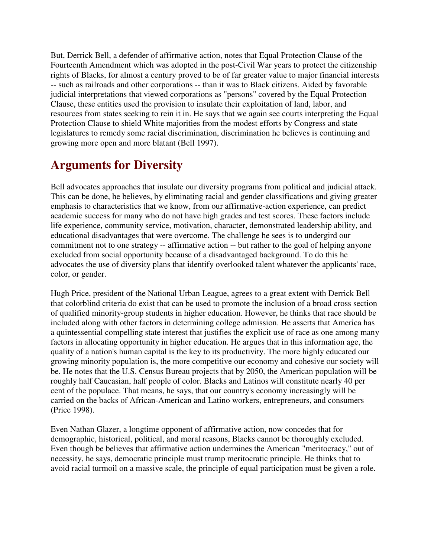But, Derrick Bell, a defender of affirmative action, notes that Equal Protection Clause of the Fourteenth Amendment which was adopted in the post-Civil War years to protect the citizenship rights of Blacks, for almost a century proved to be of far greater value to major financial interests -- such as railroads and other corporations -- than it was to Black citizens. Aided by favorable judicial interpretations that viewed corporations as "persons" covered by the Equal Protection Clause, these entities used the provision to insulate their exploitation of land, labor, and resources from states seeking to rein it in. He says that we again see courts interpreting the Equal Protection Clause to shield White majorities from the modest efforts by Congress and state legislatures to remedy some racial discrimination, discrimination he believes is continuing and growing more open and more blatant (Bell 1997).

#### **Arguments for Diversity**

Bell advocates approaches that insulate our diversity programs from political and judicial attack. This can be done, he believes, by eliminating racial and gender classifications and giving greater emphasis to characteristics that we know, from our affirmative-action experience, can predict academic success for many who do not have high grades and test scores. These factors include life experience, community service, motivation, character, demonstrated leadership ability, and educational disadvantages that were overcome. The challenge he sees is to undergird our commitment not to one strategy -- affirmative action -- but rather to the goal of helping anyone excluded from social opportunity because of a disadvantaged background. To do this he advocates the use of diversity plans that identify overlooked talent whatever the applicants' race, color, or gender.

Hugh Price, president of the National Urban League, agrees to a great extent with Derrick Bell that colorblind criteria do exist that can be used to promote the inclusion of a broad cross section of qualified minority-group students in higher education. However, he thinks that race should be included along with other factors in determining college admission. He asserts that America has a quintessential compelling state interest that justifies the explicit use of race as one among many factors in allocating opportunity in higher education. He argues that in this information age, the quality of a nation's human capital is the key to its productivity. The more highly educated our growing minority population is, the more competitive our economy and cohesive our society will be. He notes that the U.S. Census Bureau projects that by 2050, the American population will be roughly half Caucasian, half people of color. Blacks and Latinos will constitute nearly 40 per cent of the populace. That means, he says, that our country's economy increasingly will be carried on the backs of African-American and Latino workers, entrepreneurs, and consumers (Price 1998).

Even Nathan Glazer, a longtime opponent of affirmative action, now concedes that for demographic, historical, political, and moral reasons, Blacks cannot be thoroughly excluded. Even though be believes that affirmative action undermines the American "meritocracy," out of necessity, he says, democratic principle must trump meritocratic principle. He thinks that to avoid racial turmoil on a massive scale, the principle of equal participation must be given a role.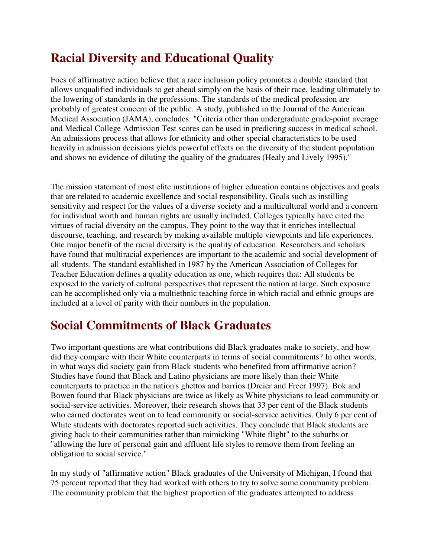### **Racial Diversity and Educational Quality**

Foes of affirmative action believe that a race inclusion policy promotes a double standard that allows unqualified individuals to get ahead simply on the basis of their race, leading ultimately to the lowering of standards in the professions. The standards of the medical profession are probably of greatest concern of the public. A study, published in the Journal of the American Medical Association (JAMA), concludes: "Criteria other than undergraduate grade-point average and Medical College Admission Test scores can be used in predicting success in medical school. An admissions process that allows for ethnicity and other special characteristics to be used heavily in admission decisions yields powerful effects on the diversity of the student population and shows no evidence of diluting the quality of the graduates (Healy and Lively 1995)."

The mission statement of most elite institutions of higher education contains objectives and goals that are related to academic excellence and social responsibility. Goals such as instilling sensitivity and respect for the values of a diverse society and a multicultural world and a concern for individual worth and human rights are usually included. Colleges typically have cited the virtues of racial diversity on the campus. They point to the way that it enriches intellectual discourse, teaching, and research by making available multiple viewpoints and life experiences. One major benefit of the racial diversity is the quality of education. Researchers and scholars have found that multiracial experiences are important to the academic and social development of all students. The standard established in 1987 by the American Association of Colleges for Teacher Education defines a quality education as one, which requires that: All students be exposed to the variety of cultural perspectives that represent the nation at large. Such exposure can be accomplished only via a multiethnic teaching force in which racial and ethnic groups are included at a level of parity with their numbers in the population.

### **Social Commitments of Black Graduates**

Two important questions are what contributions did Black graduates make to society, and how did they compare with their White counterparts in terms of social commitments? In other words, in what ways did society gain from Black students who benefited from affirmative action? Studies have found that Black and Latino physicians are more likely than their White counterparts to practice in the nation's ghettos and barrios (Dreier and Freer 1997). Bok and Bowen found that Black physicians are twice as likely as White physicians to lead community or social-service activities. Moreover, their research shows that 33 per cent of the Black students who earned doctorates went on to lead community or social-service activities. Only 6 per cent of White students with doctorates reported such activities. They conclude that Black students are giving back to their communities rather than mimicking "White flight" to the suburbs or "allowing the lure of personal gain and affluent life styles to remove them from feeling an obligation to social service."

In my study of "affirmative action" Black graduates of the University of Michigan, I found that 75 percent reported that they had worked with others to try to solve some community problem. The community problem that the highest proportion of the graduates attempted to address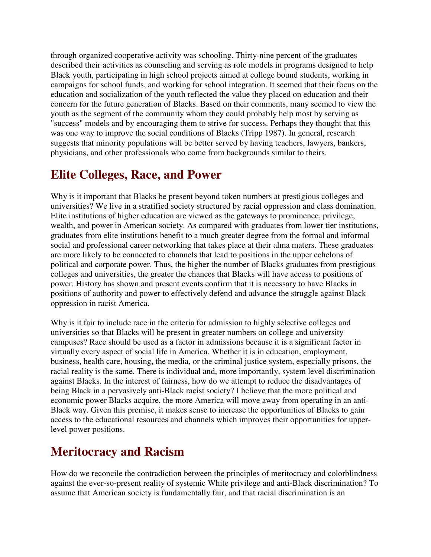through organized cooperative activity was schooling. Thirty-nine percent of the graduates described their activities as counseling and serving as role models in programs designed to help Black youth, participating in high school projects aimed at college bound students, working in campaigns for school funds, and working for school integration. It seemed that their focus on the education and socialization of the youth reflected the value they placed on education and their concern for the future generation of Blacks. Based on their comments, many seemed to view the youth as the segment of the community whom they could probably help most by serving as "success" models and by encouraging them to strive for success. Perhaps they thought that this was one way to improve the social conditions of Blacks (Tripp 1987). In general, research suggests that minority populations will be better served by having teachers, lawyers, bankers, physicians, and other professionals who come from backgrounds similar to theirs.

#### **Elite Colleges, Race, and Power**

Why is it important that Blacks be present beyond token numbers at prestigious colleges and universities? We live in a stratified society structured by racial oppression and class domination. Elite institutions of higher education are viewed as the gateways to prominence, privilege, wealth, and power in American society. As compared with graduates from lower tier institutions, graduates from elite institutions benefit to a much greater degree from the formal and informal social and professional career networking that takes place at their alma maters. These graduates are more likely to be connected to channels that lead to positions in the upper echelons of political and corporate power. Thus, the higher the number of Blacks graduates from prestigious colleges and universities, the greater the chances that Blacks will have access to positions of power. History has shown and present events confirm that it is necessary to have Blacks in positions of authority and power to effectively defend and advance the struggle against Black oppression in racist America.

Why is it fair to include race in the criteria for admission to highly selective colleges and universities so that Blacks will be present in greater numbers on college and university campuses? Race should be used as a factor in admissions because it is a significant factor in virtually every aspect of social life in America. Whether it is in education, employment, business, health care, housing, the media, or the criminal justice system, especially prisons, the racial reality is the same. There is individual and, more importantly, system level discrimination against Blacks. In the interest of fairness, how do we attempt to reduce the disadvantages of being Black in a pervasively anti-Black racist society? I believe that the more political and economic power Blacks acquire, the more America will move away from operating in an anti-Black way. Given this premise, it makes sense to increase the opportunities of Blacks to gain access to the educational resources and channels which improves their opportunities for upperlevel power positions.

#### **Meritocracy and Racism**

How do we reconcile the contradiction between the principles of meritocracy and colorblindness against the ever-so-present reality of systemic White privilege and anti-Black discrimination? To assume that American society is fundamentally fair, and that racial discrimination is an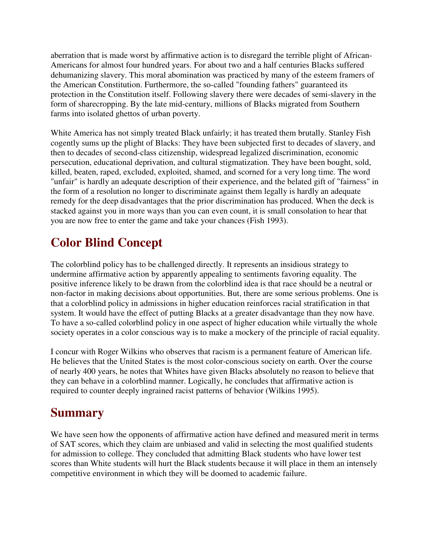aberration that is made worst by affirmative action is to disregard the terrible plight of African-Americans for almost four hundred years. For about two and a half centuries Blacks suffered dehumanizing slavery. This moral abomination was practiced by many of the esteem framers of the American Constitution. Furthermore, the so-called "founding fathers" guaranteed its protection in the Constitution itself. Following slavery there were decades of semi-slavery in the form of sharecropping. By the late mid-century, millions of Blacks migrated from Southern farms into isolated ghettos of urban poverty.

White America has not simply treated Black unfairly; it has treated them brutally. Stanley Fish cogently sums up the plight of Blacks: They have been subjected first to decades of slavery, and then to decades of second-class citizenship, widespread legalized discrimination, economic persecution, educational deprivation, and cultural stigmatization. They have been bought, sold, killed, beaten, raped, excluded, exploited, shamed, and scorned for a very long time. The word "unfair" is hardly an adequate description of their experience, and the belated gift of "fairness" in the form of a resolution no longer to discriminate against them legally is hardly an adequate remedy for the deep disadvantages that the prior discrimination has produced. When the deck is stacked against you in more ways than you can even count, it is small consolation to hear that you are now free to enter the game and take your chances (Fish 1993).

#### **Color Blind Concept**

The colorblind policy has to be challenged directly. It represents an insidious strategy to undermine affirmative action by apparently appealing to sentiments favoring equality. The positive inference likely to be drawn from the colorblind idea is that race should be a neutral or non-factor in making decisions about opportunities. But, there are some serious problems. One is that a colorblind policy in admissions in higher education reinforces racial stratification in that system. It would have the effect of putting Blacks at a greater disadvantage than they now have. To have a so-called colorblind policy in one aspect of higher education while virtually the whole society operates in a color conscious way is to make a mockery of the principle of racial equality.

I concur with Roger Wilkins who observes that racism is a permanent feature of American life. He believes that the United States is the most color-conscious society on earth. Over the course of nearly 400 years, he notes that Whites have given Blacks absolutely no reason to believe that they can behave in a colorblind manner. Logically, he concludes that affirmative action is required to counter deeply ingrained racist patterns of behavior (Wilkins 1995).

#### **Summary**

We have seen how the opponents of affirmative action have defined and measured merit in terms of SAT scores, which they claim are unbiased and valid in selecting the most qualified students for admission to college. They concluded that admitting Black students who have lower test scores than White students will hurt the Black students because it will place in them an intensely competitive environment in which they will be doomed to academic failure.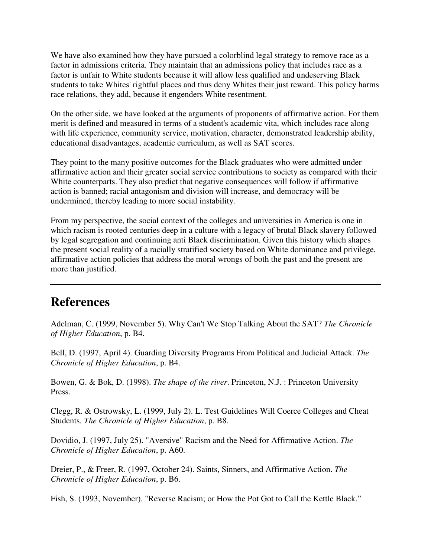We have also examined how they have pursued a colorblind legal strategy to remove race as a factor in admissions criteria. They maintain that an admissions policy that includes race as a factor is unfair to White students because it will allow less qualified and undeserving Black students to take Whites' rightful places and thus deny Whites their just reward. This policy harms race relations, they add, because it engenders White resentment.

On the other side, we have looked at the arguments of proponents of affirmative action. For them merit is defined and measured in terms of a student's academic vita, which includes race along with life experience, community service, motivation, character, demonstrated leadership ability, educational disadvantages, academic curriculum, as well as SAT scores.

They point to the many positive outcomes for the Black graduates who were admitted under affirmative action and their greater social service contributions to society as compared with their White counterparts. They also predict that negative consequences will follow if affirmative action is banned; racial antagonism and division will increase, and democracy will be undermined, thereby leading to more social instability.

From my perspective, the social context of the colleges and universities in America is one in which racism is rooted centuries deep in a culture with a legacy of brutal Black slavery followed by legal segregation and continuing anti Black discrimination. Given this history which shapes the present social reality of a racially stratified society based on White dominance and privilege, affirmative action policies that address the moral wrongs of both the past and the present are more than justified.

#### **References**

Adelman, C. (1999, November 5). Why Can't We Stop Talking About the SAT? *The Chronicle of Higher Education*, p. B4.

Bell, D. (1997, April 4). Guarding Diversity Programs From Political and Judicial Attack. *The Chronicle of Higher Education*, p. B4.

Bowen, G. & Bok, D. (1998). *The shape of the river*. Princeton, N.J. : Princeton University Press.

Clegg, R. & Ostrowsky, L. (1999, July 2). L. Test Guidelines Will Coerce Colleges and Cheat Students*. The Chronicle of Higher Education*, p. B8.

Dovidio, J. (1997, July 25). "Aversive" Racism and the Need for Affirmative Action. *The Chronicle of Higher Education*, p. A60.

Dreier, P., & Freer, R. (1997, October 24). Saints, Sinners, and Affirmative Action. *The Chronicle of Higher Education*, p. B6.

Fish, S. (1993, November). "Reverse Racism; or How the Pot Got to Call the Kettle Black."